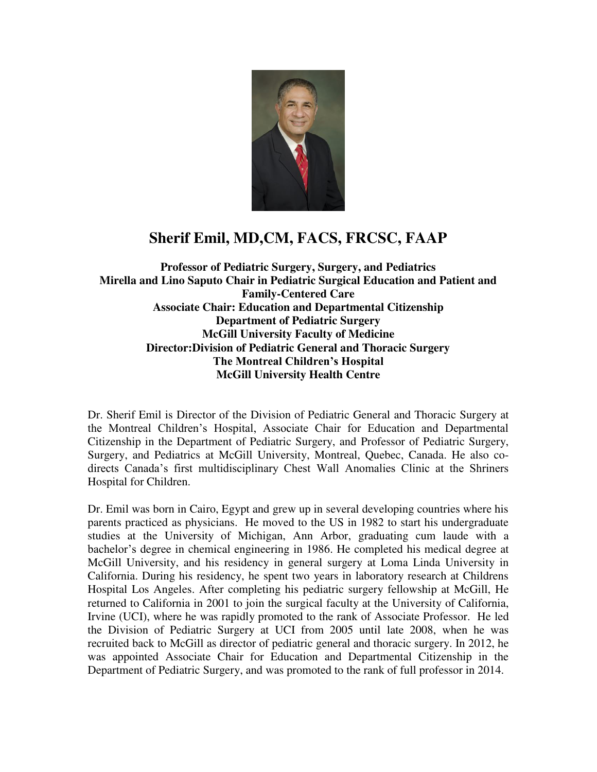

## **Sherif Emil, MD,CM, FACS, FRCSC, FAAP**

**Professor of Pediatric Surgery, Surgery, and Pediatrics Mirella and Lino Saputo Chair in Pediatric Surgical Education and Patient and Family-Centered Care Associate Chair: Education and Departmental Citizenship Department of Pediatric Surgery McGill University Faculty of Medicine Director:Division of Pediatric General and Thoracic Surgery The Montreal Children's Hospital McGill University Health Centre** 

Dr. Sherif Emil is Director of the Division of Pediatric General and Thoracic Surgery at the Montreal Children's Hospital, Associate Chair for Education and Departmental Citizenship in the Department of Pediatric Surgery, and Professor of Pediatric Surgery, Surgery, and Pediatrics at McGill University, Montreal, Quebec, Canada. He also codirects Canada's first multidisciplinary Chest Wall Anomalies Clinic at the Shriners Hospital for Children.

Dr. Emil was born in Cairo, Egypt and grew up in several developing countries where his parents practiced as physicians. He moved to the US in 1982 to start his undergraduate studies at the University of Michigan, Ann Arbor, graduating cum laude with a bachelor's degree in chemical engineering in 1986. He completed his medical degree at McGill University, and his residency in general surgery at Loma Linda University in California. During his residency, he spent two years in laboratory research at Childrens Hospital Los Angeles. After completing his pediatric surgery fellowship at McGill, He returned to California in 2001 to join the surgical faculty at the University of California, Irvine (UCI), where he was rapidly promoted to the rank of Associate Professor. He led the Division of Pediatric Surgery at UCI from 2005 until late 2008, when he was recruited back to McGill as director of pediatric general and thoracic surgery. In 2012, he was appointed Associate Chair for Education and Departmental Citizenship in the Department of Pediatric Surgery, and was promoted to the rank of full professor in 2014.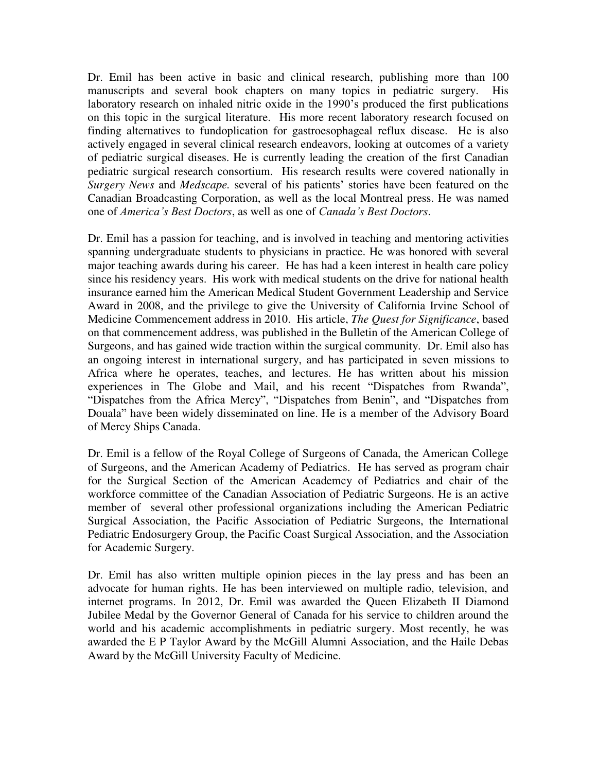Dr. Emil has been active in basic and clinical research, publishing more than 100 manuscripts and several book chapters on many topics in pediatric surgery. His laboratory research on inhaled nitric oxide in the 1990's produced the first publications on this topic in the surgical literature. His more recent laboratory research focused on finding alternatives to fundoplication for gastroesophageal reflux disease. He is also actively engaged in several clinical research endeavors, looking at outcomes of a variety of pediatric surgical diseases. He is currently leading the creation of the first Canadian pediatric surgical research consortium. His research results were covered nationally in *Surgery News* and *Medscape.* several of his patients' stories have been featured on the Canadian Broadcasting Corporation, as well as the local Montreal press. He was named one of *America's Best Doctors*, as well as one of *Canada's Best Doctors*.

Dr. Emil has a passion for teaching, and is involved in teaching and mentoring activities spanning undergraduate students to physicians in practice. He was honored with several major teaching awards during his career. He has had a keen interest in health care policy since his residency years. His work with medical students on the drive for national health insurance earned him the American Medical Student Government Leadership and Service Award in 2008, and the privilege to give the University of California Irvine School of Medicine Commencement address in 2010. His article, *The Quest for Significance*, based on that commencement address, was published in the Bulletin of the American College of Surgeons, and has gained wide traction within the surgical community. Dr. Emil also has an ongoing interest in international surgery, and has participated in seven missions to Africa where he operates, teaches, and lectures. He has written about his mission experiences in The Globe and Mail, and his recent "Dispatches from Rwanda", "Dispatches from the Africa Mercy", "Dispatches from Benin", and "Dispatches from Douala" have been widely disseminated on line. He is a member of the Advisory Board of Mercy Ships Canada.

Dr. Emil is a fellow of the Royal College of Surgeons of Canada, the American College of Surgeons, and the American Academy of Pediatrics. He has served as program chair for the Surgical Section of the American Academcy of Pediatrics and chair of the workforce committee of the Canadian Association of Pediatric Surgeons. He is an active member of several other professional organizations including the American Pediatric Surgical Association, the Pacific Association of Pediatric Surgeons, the International Pediatric Endosurgery Group, the Pacific Coast Surgical Association, and the Association for Academic Surgery.

Dr. Emil has also written multiple opinion pieces in the lay press and has been an advocate for human rights. He has been interviewed on multiple radio, television, and internet programs. In 2012, Dr. Emil was awarded the Queen Elizabeth II Diamond Jubilee Medal by the Governor General of Canada for his service to children around the world and his academic accomplishments in pediatric surgery. Most recently, he was awarded the E P Taylor Award by the McGill Alumni Association, and the Haile Debas Award by the McGill University Faculty of Medicine.